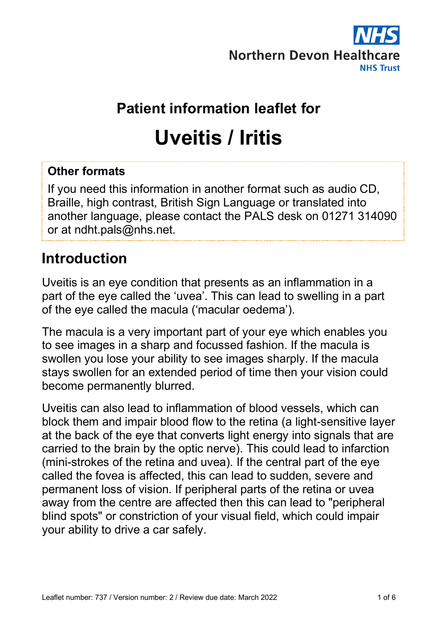

# **Patient information leaflet for Uveitis / Iritis**

#### **Other formats**

If you need this information in another format such as audio CD, Braille, high contrast, British Sign Language or translated into another language, please contact the PALS desk on 01271 314090 or at ndht.pals@nhs.net.

### **Introduction**

Uveitis is an eye condition that presents as an inflammation in a part of the eye called the 'uvea'. This can lead to swelling in a part of the eye called the macula ('macular oedema').

The macula is a very important part of your eye which enables you to see images in a sharp and focussed fashion. If the macula is swollen you lose your ability to see images sharply. If the macula stays swollen for an extended period of time then your vision could become permanently blurred.

Uveitis can also lead to inflammation of blood vessels, which can block them and impair blood flow to the retina (a light-sensitive layer at the back of the eye that converts light energy into signals that are carried to the brain by the optic nerve). This could lead to infarction (mini-strokes of the retina and uvea). If the central part of the eye called the fovea is affected, this can lead to sudden, severe and permanent loss of vision. If peripheral parts of the retina or uvea away from the centre are affected then this can lead to "peripheral blind spots" or constriction of your visual field, which could impair your ability to drive a car safely.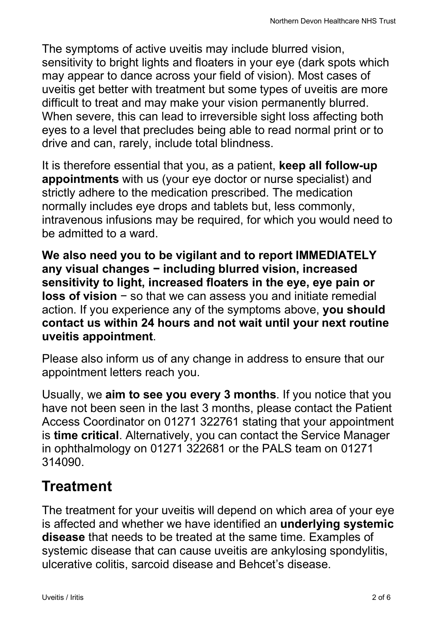The symptoms of active uveitis may include blurred vision, sensitivity to bright lights and floaters in your eye (dark spots which may appear to dance across your field of vision). Most cases of uveitis get better with treatment but some types of uveitis are more difficult to treat and may make your vision permanently blurred. When severe, this can lead to irreversible sight loss affecting both eyes to a level that precludes being able to read normal print or to drive and can, rarely, include total blindness.

It is therefore essential that you, as a patient, **keep all follow-up appointments** with us (your eye doctor or nurse specialist) and strictly adhere to the medication prescribed. The medication normally includes eye drops and tablets but, less commonly, intravenous infusions may be required, for which you would need to be admitted to a ward.

**We also need you to be vigilant and to report IMMEDIATELY any visual changes − including blurred vision, increased sensitivity to light, increased floaters in the eye, eye pain or loss of vision** − so that we can assess you and initiate remedial action. If you experience any of the symptoms above, **you should contact us within 24 hours and not wait until your next routine uveitis appointment**.

Please also inform us of any change in address to ensure that our appointment letters reach you.

Usually, we **aim to see you every 3 months**. If you notice that you have not been seen in the last 3 months, please contact the Patient Access Coordinator on 01271 322761 stating that your appointment is **time critical**. Alternatively, you can contact the Service Manager in ophthalmology on 01271 322681 or the PALS team on 01271 314090.

## **Treatment**

The treatment for your uveitis will depend on which area of your eye is affected and whether we have identified an **underlying systemic disease** that needs to be treated at the same time. Examples of systemic disease that can cause uveitis are ankylosing spondylitis, ulcerative colitis, sarcoid disease and Behcet's disease.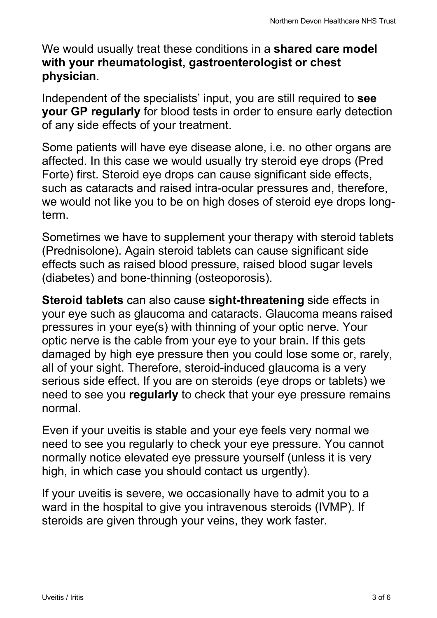We would usually treat these conditions in a **shared care model with your rheumatologist, gastroenterologist or chest physician**.

Independent of the specialists' input, you are still required to **see your GP regularly** for blood tests in order to ensure early detection of any side effects of your treatment.

Some patients will have eye disease alone, i.e. no other organs are affected. In this case we would usually try steroid eye drops (Pred Forte) first. Steroid eye drops can cause significant side effects, such as cataracts and raised intra-ocular pressures and, therefore, we would not like you to be on high doses of steroid eye drops longterm.

Sometimes we have to supplement your therapy with steroid tablets (Prednisolone). Again steroid tablets can cause significant side effects such as raised blood pressure, raised blood sugar levels (diabetes) and bone-thinning (osteoporosis).

**Steroid tablets** can also cause **sight-threatening** side effects in your eye such as glaucoma and cataracts. Glaucoma means raised pressures in your eye(s) with thinning of your optic nerve. Your optic nerve is the cable from your eye to your brain. If this gets damaged by high eye pressure then you could lose some or, rarely, all of your sight. Therefore, steroid-induced glaucoma is a very serious side effect. If you are on steroids (eye drops or tablets) we need to see you **regularly** to check that your eye pressure remains normal.

Even if your uveitis is stable and your eye feels very normal we need to see you regularly to check your eye pressure. You cannot normally notice elevated eye pressure yourself (unless it is very high, in which case you should contact us urgently).

If your uveitis is severe, we occasionally have to admit you to a ward in the hospital to give you intravenous steroids (IVMP). If steroids are given through your veins, they work faster.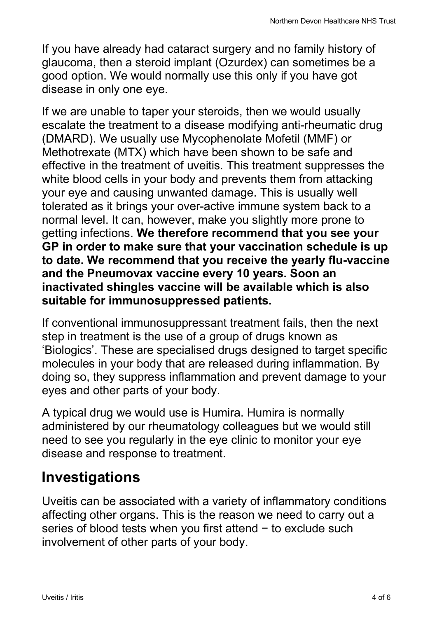If you have already had cataract surgery and no family history of glaucoma, then a steroid implant (Ozurdex) can sometimes be a good option. We would normally use this only if you have got disease in only one eye.

If we are unable to taper your steroids, then we would usually escalate the treatment to a disease modifying anti-rheumatic drug (DMARD). We usually use Mycophenolate Mofetil (MMF) or Methotrexate (MTX) which have been shown to be safe and effective in the treatment of uveitis. This treatment suppresses the white blood cells in your body and prevents them from attacking your eye and causing unwanted damage. This is usually well tolerated as it brings your over-active immune system back to a normal level. It can, however, make you slightly more prone to getting infections. **We therefore recommend that you see your GP in order to make sure that your vaccination schedule is up to date. We recommend that you receive the yearly flu-vaccine and the Pneumovax vaccine every 10 years. Soon an inactivated shingles vaccine will be available which is also suitable for immunosuppressed patients.** 

If conventional immunosuppressant treatment fails, then the next step in treatment is the use of a group of drugs known as 'Biologics'. These are specialised drugs designed to target specific molecules in your body that are released during inflammation. By doing so, they suppress inflammation and prevent damage to your eyes and other parts of your body.

A typical drug we would use is Humira. Humira is normally administered by our rheumatology colleagues but we would still need to see you regularly in the eye clinic to monitor your eye disease and response to treatment.

#### **Investigations**

Uveitis can be associated with a variety of inflammatory conditions affecting other organs. This is the reason we need to carry out a series of blood tests when you first attend − to exclude such involvement of other parts of your body.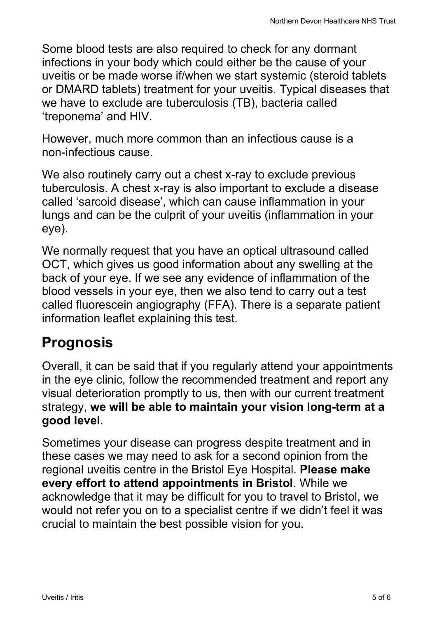Some blood tests are also required to check for any dormant infections in your body which could either be the cause of your uveitis or be made worse if/when we start systemic (steroid tablets or DMARD tablets) treatment for your uveitis. Typical diseases that we have to exclude are tuberculosis (TB), bacteria called 'treponema' and HIV.

However, much more common than an infectious cause is a non-infectious cause.

We also routinely carry out a chest x-ray to exclude previous tuberculosis. A chest x-ray is also important to exclude a disease called 'sarcoid disease', which can cause inflammation in your lungs and can be the culprit of your uveitis (inflammation in your eye).

We normally request that you have an optical ultrasound called OCT, which gives us good information about any swelling at the back of your eye. If we see any evidence of inflammation of the blood vessels in your eye, then we also tend to carry out a test called fluorescein angiography (FFA). There is a separate patient information leaflet explaining this test.

## **Prognosis**

Overall, it can be said that if you regularly attend your appointments in the eye clinic, follow the recommended treatment and report any visual deterioration promptly to us, then with our current treatment strategy, **we will be able to maintain your vision long-term at a good level**.

Sometimes your disease can progress despite treatment and in these cases we may need to ask for a second opinion from the regional uveitis centre in the Bristol Eye Hospital. **Please make every effort to attend appointments in Bristol**. While we acknowledge that it may be difficult for you to travel to Bristol, we would not refer you on to a specialist centre if we didn't feel it was crucial to maintain the best possible vision for you.